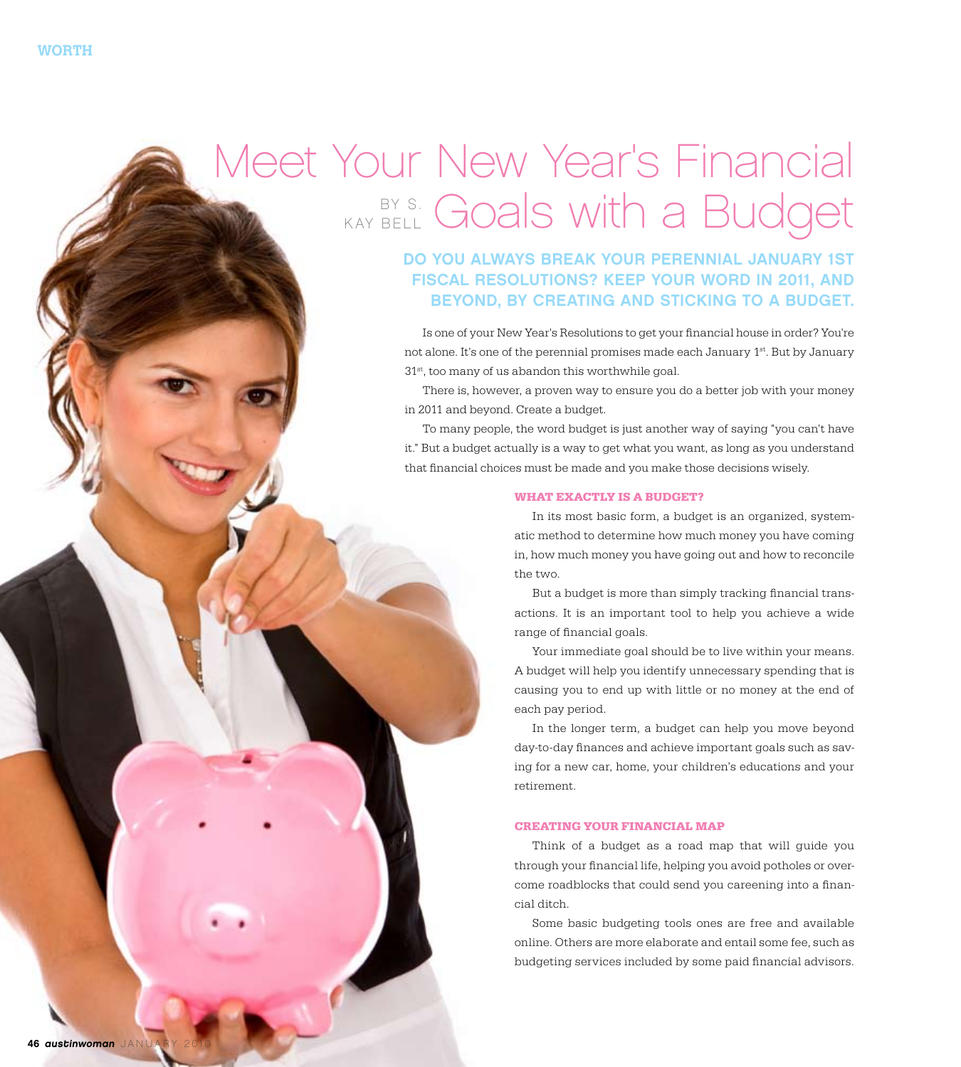## Meet Your New Year's Financial BR S. Goals with a Budget K ay B ell

Do you always break your perennial January 1st fiscal resolutions? Keep your word in 2011, and beyond, by creating and sticking to a budget.

Is one of your New Year's Resolutions to get your financial house in order? You're not alone. It's one of the perennial promises made each January 1st. But by January 31st, too many of us abandon this worthwhile goal.

There is, however, a proven way to ensure you do a better job with your money in 2011 and beyond. Create a budget.

To many people, the word budget is just another way of saying "you can't have it." But a budget actually is a way to get what you want, as long as you understand that financial choices must be made and you make those decisions wisely.

## **What Exactly is a Budget?**

In its most basic form, a budget is an organized, systematic method to determine how much money you have coming in, how much money you have going out and how to reconcile the two.

But a budget is more than simply tracking financial transactions. It is an important tool to help you achieve a wide range of financial goals.

Your immediate goal should be to live within your means. A budget will help you identify unnecessary spending that is causing you to end up with little or no money at the end of each pay period.

In the longer term, a budget can help you move beyond day-to-day finances and achieve important goals such as saving for a new car, home, your children's educations and your retirement.

## **Creating Your Financial Map**

Think of a budget as a road map that will guide you through your financial life, helping you avoid potholes or overcome roadblocks that could send you careening into a financial ditch.

Some basic budgeting tools ones are free and available online. Others are more elaborate and entail some fee, such as budgeting services included by some paid financial advisors.

2010